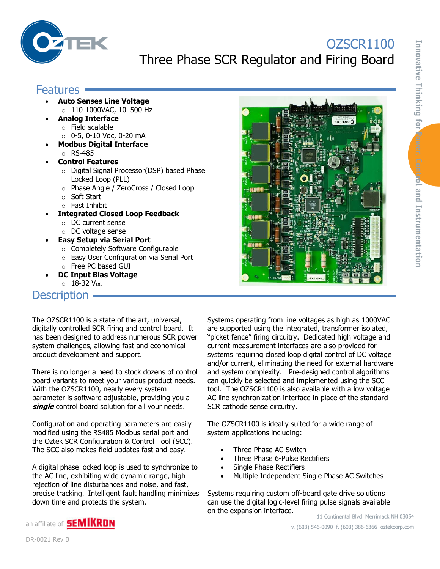

# OZSCR1100 Three Phase SCR Regulator and Firing Board

### **Features -**

- **Auto Senses Line Voltage** o 110-1000VAC, 10–500 Hz
- **Analog Interface**
	- o Field scalable
	- o 0-5, 0-10 Vdc, 0-20 mA
- **Modbus Digital Interface** o RS-485
- **Control Features**
	- o Digital Signal Processor(DSP) based Phase Locked Loop (PLL)
	- o Phase Angle / ZeroCross / Closed Loop
	- o Soft Start
	- o Fast Inhibit
- **Integrated Closed Loop Feedback**
	- o DC current sense
	- o DC voltage sense
- **Easy Setup via Serial Port**
	- o Completely Software Configurable
	- o Easy User Configuration via Serial Port
	- o Free PC based GUI
- **DC Input Bias Voltage**  $\circ$  18-32 V<sub>DC</sub>

#### Description –

The OZSCR1100 is a state of the art, universal, digitally controlled SCR firing and control board. It has been designed to address numerous SCR power system challenges, allowing fast and economical product development and support.

There is no longer a need to stock dozens of control board variants to meet your various product needs. With the OZSCR1100, nearly every system parameter is software adjustable, providing you a **single** control board solution for all your needs.

Configuration and operating parameters are easily modified using the RS485 Modbus serial port and the Oztek SCR Configuration & Control Tool (SCC). The SCC also makes field updates fast and easy.

A digital phase locked loop is used to synchronize to the AC line, exhibiting wide dynamic range, high rejection of line disturbances and noise, and fast, precise tracking. Intelligent fault handling minimizes down time and protects the system.

Systems operating from line voltages as high as 1000VAC are supported using the integrated, transformer isolated, "picket fence" firing circuitry. Dedicated high voltage and current measurement interfaces are also provided for systems requiring closed loop digital control of DC voltage and/or current, eliminating the need for external hardware and system complexity. Pre-designed control algorithms can quickly be selected and implemented using the SCC tool. The OZSCR1100 is also available with a low voltage AC line synchronization interface in place of the standard SCR cathode sense circuitry.

The OZSCR1100 is ideally suited for a wide range of system applications including:

- Three Phase AC Switch
- Three Phase 6-Pulse Rectifiers
- Single Phase Rectifiers
- Multiple Independent Single Phase AC Switches

Systems requiring custom off-board gate drive solutions can use the digital logic-level firing pulse signals available on the expansion interface.